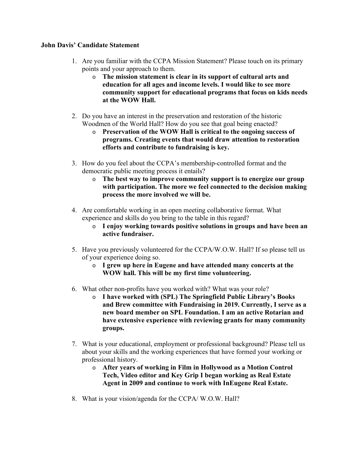## **John Davis' Candidate Statement**

- 1. Are you familiar with the CCPA Mission Statement? Please touch on its primary points and your approach to them.
	- o **The mission statement is clear in its support of cultural arts and education for all ages and income levels. I would like to see more community support for educational programs that focus on kids needs at the WOW Hall.**
- 2. Do you have an interest in the preservation and restoration of the historic Woodmen of the World Hall? How do you see that goal being enacted?
	- o **Preservation of the WOW Hall is critical to the ongoing success of programs. Creating events that would draw attention to restoration efforts and contribute to fundraising is key.**
- 3. How do you feel about the CCPA's membership-controlled format and the democratic public meeting process it entails?
	- o **The best way to improve community support is to energize our group with participation. The more we feel connected to the decision making process the more involved we will be.**
- 4. Are comfortable working in an open meeting collaborative format. What experience and skills do you bring to the table in this regard?
	- o **I enjoy working towards positive solutions in groups and have been an active fundraiser.**
- 5. Have you previously volunteered for the CCPA/W.O.W. Hall? If so please tell us of your experience doing so.
	- o **I grew up here in Eugene and have attended many concerts at the WOW hall. This will be my first time volunteering.**
- 6. What other non-profits have you worked with? What was your role?
	- o **I have worked with (SPL) The Springfield Public Library's Books and Brew committee with Fundraising in 2019. Currently, I serve as a new board member on SPL Foundation. I am an active Rotarian and have extensive experience with reviewing grants for many community groups.**
- 7. What is your educational, employment or professional background? Please tell us about your skills and the working experiences that have formed your working or professional history.
	- o **After years of working in Film in Hollywood as a Motion Control Tech, Video editor and Key Grip I began working as Real Estate Agent in 2009 and continue to work with InEugene Real Estate.**
- 8. What is your vision/agenda for the CCPA/ W.O.W. Hall?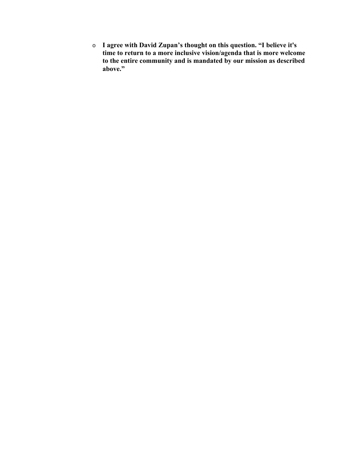o **I agree with David Zupan's thought on this question. "I believe it's time to return to a more inclusive vision/agenda that is more welcome to the entire community and is mandated by our mission as described above."**